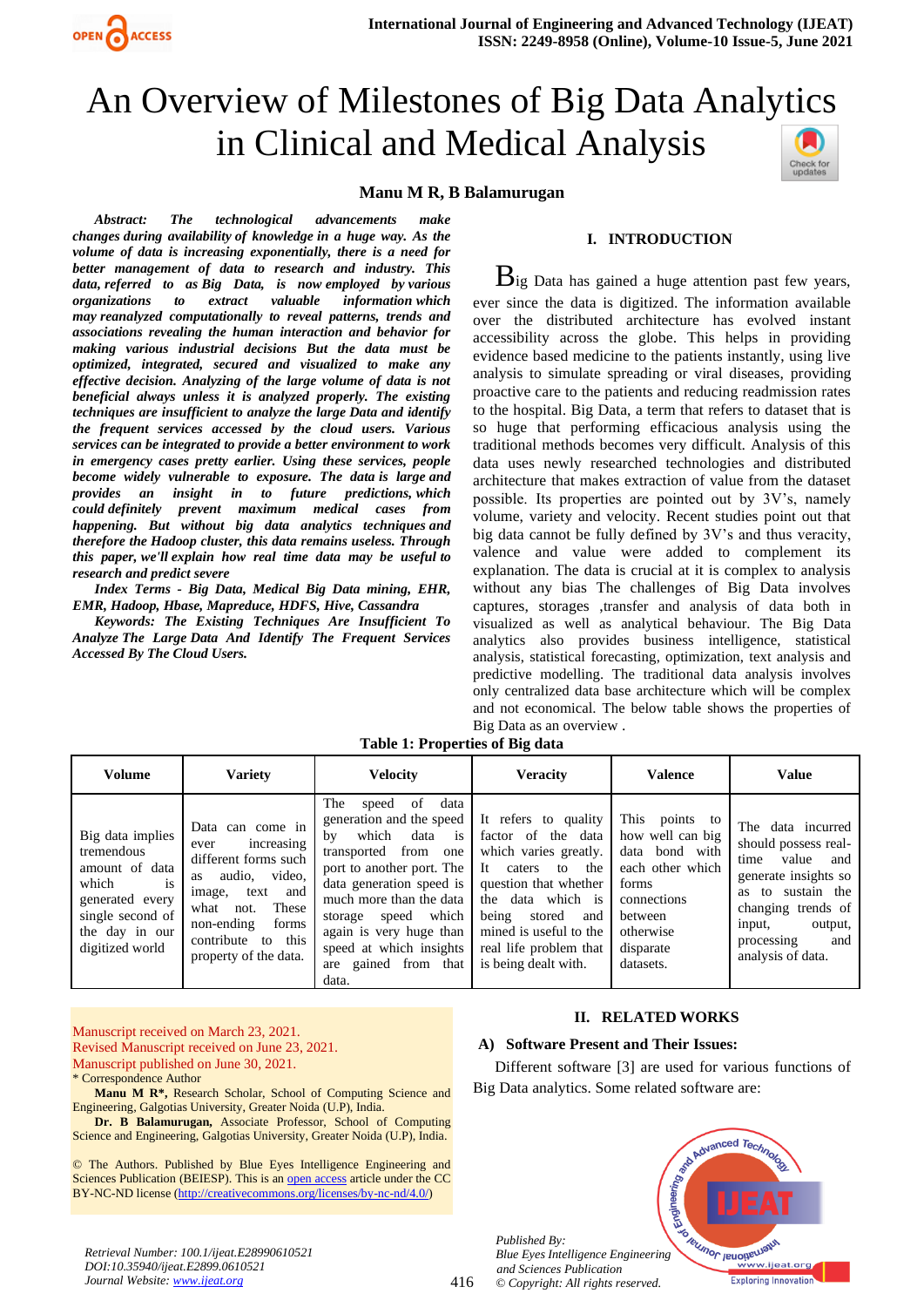

# An Overview of Milestones of Big Data Analytics in Clinical and Medical Analysis

### **Manu M R, B Balamurugan**

*Abstract: The technological advancements make changes during availability of knowledge in a huge way. As the volume of data is increasing exponentially, there is a need for better management of data to research and industry. This data, referred to as Big Data, is now employed by various organizations to extract valuable information which may reanalyzed computationally to reveal patterns, trends and associations revealing the human interaction and behavior for making various industrial decisions But the data must be optimized, integrated, secured and visualized to make any effective decision. Analyzing of the large volume of data is not beneficial always unless it is analyzed properly. The existing techniques are insufficient to analyze the large Data and identify the frequent services accessed by the cloud users. Various services can be integrated to provide a better environment to work in emergency cases pretty earlier. Using these services, people become widely vulnerable to exposure. The data is large and provides an insight in to future predictions, which could definitely prevent maximum medical cases from happening. But without big data analytics techniques and therefore the Hadoop cluster, this data remains useless. Through this paper, we'll explain how real time data may be useful to research and predict severe*

*Index Terms - Big Data, Medical Big Data mining, EHR, EMR, Hadoop, Hbase, Mapreduce, HDFS, Hive, Cassandra*

*Keywords: The Existing Techniques Are Insufficient To Analyze The Large Data And Identify The Frequent Services Accessed By The Cloud Users.*

#### **I. INTRODUCTION**

 $B$ ig Data has gained a huge attention past few years, ever since the data is digitized. The information available over the distributed architecture has evolved instant accessibility across the globe. This helps in providing evidence based medicine to the patients instantly, using live analysis to simulate spreading or viral diseases, providing proactive care to the patients and reducing readmission rates to the hospital. Big Data, a term that refers to dataset that is so huge that performing efficacious analysis using the traditional methods becomes very difficult. Analysis of this data uses newly researched technologies and distributed architecture that makes extraction of value from the dataset possible. Its properties are pointed out by 3V's, namely volume, variety and velocity. Recent studies point out that big data cannot be fully defined by 3V's and thus veracity, valence and value were added to complement its explanation. The data is crucial at it is complex to analysis without any bias The challenges of Big Data involves captures, storages ,transfer and analysis of data both in visualized as well as analytical behaviour. The Big Data analytics also provides business intelligence, statistical analysis, statistical forecasting, optimization, text analysis and predictive modelling. The traditional data analysis involves only centralized data base architecture which will be complex and not economical. The below table shows the properties of Big Data as an overview .

| <b>Volume</b>                                                                                                                                      | <b>Variety</b>                                                                                                                                                                                                | <b>Velocity</b>                                                                                                                                                                                                                                                                                                     | <b>Veracity</b>                                                                                                                                                                                                                                | <b>Valence</b>                                                                                                                                        | <b>Value</b>                                                                                                                                                                                     |
|----------------------------------------------------------------------------------------------------------------------------------------------------|---------------------------------------------------------------------------------------------------------------------------------------------------------------------------------------------------------------|---------------------------------------------------------------------------------------------------------------------------------------------------------------------------------------------------------------------------------------------------------------------------------------------------------------------|------------------------------------------------------------------------------------------------------------------------------------------------------------------------------------------------------------------------------------------------|-------------------------------------------------------------------------------------------------------------------------------------------------------|--------------------------------------------------------------------------------------------------------------------------------------------------------------------------------------------------|
| Big data implies<br>tremendous<br>amount of data<br>which<br><i>is</i><br>generated every<br>single second of<br>the day in our<br>digitized world | Data can come in<br>increasing<br>ever<br>different forms such<br>audio, video,<br>as<br>text<br>and<br>image,<br>what<br>These<br>not.<br>non-ending<br>forms<br>contribute to this<br>property of the data. | of<br>The<br>data<br>speed<br>generation and the speed<br>which<br>data<br>is<br>by<br>transported from one<br>port to another port. The<br>data generation speed is<br>much more than the data<br>which<br>speed<br>storage<br>again is very huge than<br>speed at which insights<br>are gained from that<br>data. | It refers to quality<br>factor of the data<br>which varies greatly.<br>It caters<br>to the<br>question that whether<br>the data which is<br>being<br>stored<br>and<br>mined is useful to the<br>real life problem that<br>is being dealt with. | This<br>points to<br>how well can big<br>data bond with<br>each other which<br>forms<br>connections<br>between<br>otherwise<br>disparate<br>datasets. | The data incurred<br>should possess real-<br>value and<br>time<br>generate insights so<br>as to sustain the<br>changing trends of<br>output,<br>input,<br>processing<br>and<br>analysis of data. |

416

**Table 1: Properties of Big data**

Manuscript received on March 23, 2021. Revised Manuscript received on June 23, 2021. Manuscript published on June 30, 2021.

\* Correspondence Author

*DOI:10.35940/ijeat.E2899.0610521 Journal Website[: www.ijeat.org](http://www.ijeat.org/)*

**Manu M R\*,** Research Scholar, School of Computing Science and Engineering, Galgotias University, Greater Noida (U.P), India.

**Dr. B Balamurugan,** Associate Professor, School of Computing Science and Engineering, Galgotias University, Greater Noida (U.P), India.

© The Authors. Published by Blue Eyes Intelligence Engineering and Sciences Publication (BEIESP). This is a[n open access](https://www.openaccess.nl/en/open-publications) article under the CC BY-NC-ND license [\(http://creativecommons.org/licenses/by-nc-nd/4.0/\)](http://creativecommons.org/licenses/by-nc-nd/4.0/)

### **II. RELATED WORKS**

## **A) Software Present and Their Issues:**

Different software [3] are used for various functions of Big Data analytics. Some related software are:



*Published By: Blue Eyes Intelligence Engineering and Sciences Publication © Copyright: All rights reserved.*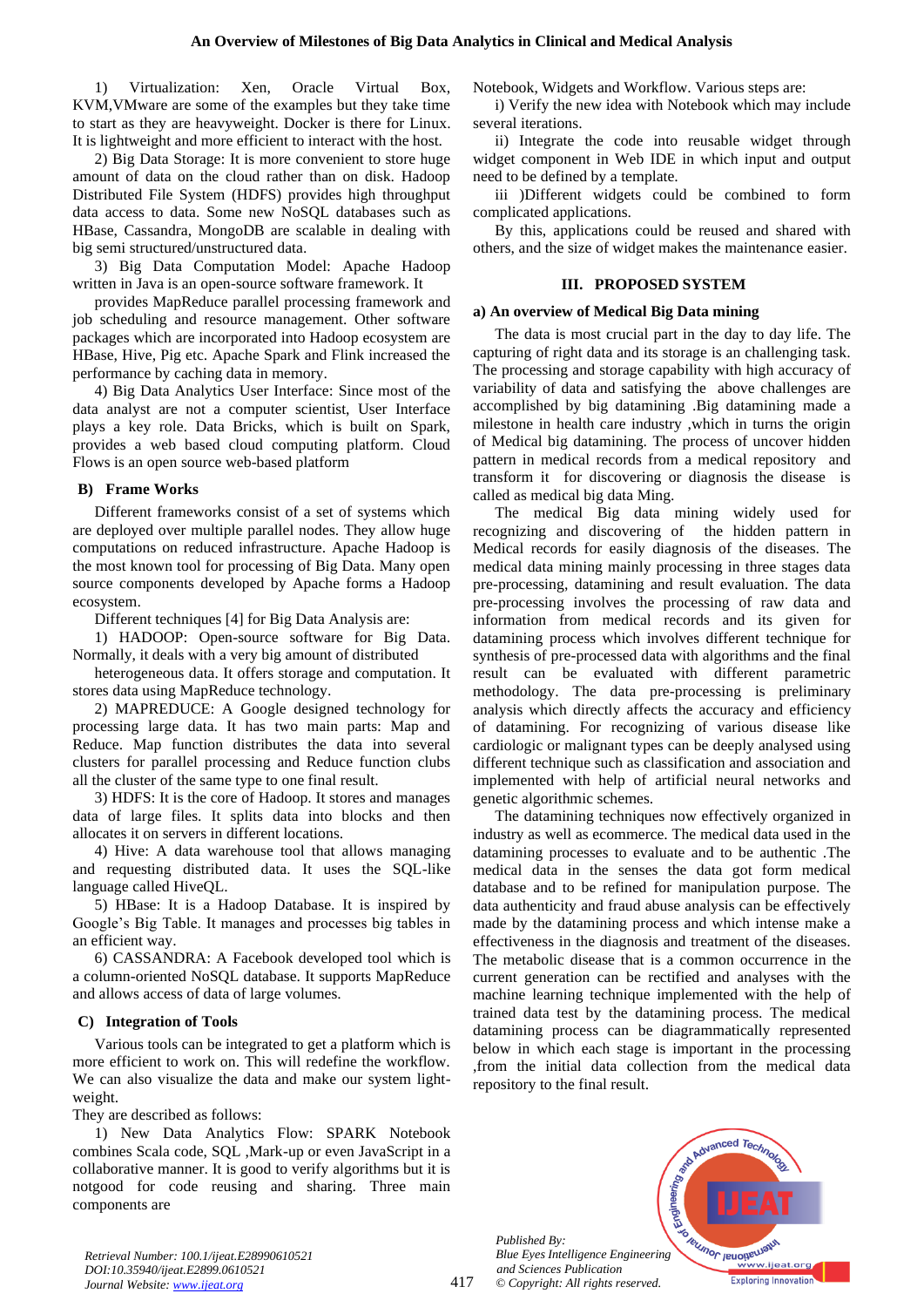1) Virtualization: Xen, Oracle Virtual Box, KVM,VMware are some of the examples but they take time to start as they are heavyweight. Docker is there for Linux. It is lightweight and more efficient to interact with the host.

2) Big Data Storage: It is more convenient to store huge amount of data on the cloud rather than on disk. Hadoop Distributed File System (HDFS) provides high throughput data access to data. Some new NoSQL databases such as HBase, Cassandra, MongoDB are scalable in dealing with big semi structured/unstructured data.

3) Big Data Computation Model: Apache Hadoop written in Java is an open-source software framework. It

provides MapReduce parallel processing framework and job scheduling and resource management. Other software packages which are incorporated into Hadoop ecosystem are HBase, Hive, Pig etc. Apache Spark and Flink increased the performance by caching data in memory.

4) Big Data Analytics User Interface: Since most of the data analyst are not a computer scientist, User Interface plays a key role. Data Bricks, which is built on Spark, provides a web based cloud computing platform. Cloud Flows is an open source web-based platform

## **B) Frame Works**

Different frameworks consist of a set of systems which are deployed over multiple parallel nodes. They allow huge computations on reduced infrastructure. Apache Hadoop is the most known tool for processing of Big Data. Many open source components developed by Apache forms a Hadoop ecosystem.

Different techniques [4] for Big Data Analysis are:

1) HADOOP: Open-source software for Big Data. Normally, it deals with a very big amount of distributed

heterogeneous data. It offers storage and computation. It stores data using MapReduce technology.

2) MAPREDUCE: A Google designed technology for processing large data. It has two main parts: Map and Reduce. Map function distributes the data into several clusters for parallel processing and Reduce function clubs all the cluster of the same type to one final result.

3) HDFS: It is the core of Hadoop. It stores and manages data of large files. It splits data into blocks and then allocates it on servers in different locations.

4) Hive: A data warehouse tool that allows managing and requesting distributed data. It uses the SQL-like language called HiveQL.

5) HBase: It is a Hadoop Database. It is inspired by Google's Big Table. It manages and processes big tables in an efficient way.

6) CASSANDRA: A Facebook developed tool which is a column-oriented NoSQL database. It supports MapReduce and allows access of data of large volumes.

## **C) Integration of Tools**

Various tools can be integrated to get a platform which is more efficient to work on. This will redefine the workflow. We can also visualize the data and make our system lightweight.

They are described as follows:

1) New Data Analytics Flow: SPARK Notebook combines Scala code, SQL ,Mark-up or even JavaScript in a collaborative manner. It is good to verify algorithms but it is notgood for code reusing and sharing. Three main components are

Notebook, Widgets and Workflow. Various steps are:

i) Verify the new idea with Notebook which may include several iterations.

ii) Integrate the code into reusable widget through widget component in Web IDE in which input and output need to be defined by a template.

iii )Different widgets could be combined to form complicated applications.

By this, applications could be reused and shared with others, and the size of widget makes the maintenance easier.

## **III. PROPOSED SYSTEM**

## **a) An overview of Medical Big Data mining**

The data is most crucial part in the day to day life. The capturing of right data and its storage is an challenging task. The processing and storage capability with high accuracy of variability of data and satisfying the above challenges are accomplished by big datamining .Big datamining made a milestone in health care industry ,which in turns the origin of Medical big datamining. The process of uncover hidden pattern in medical records from a medical repository and transform it for discovering or diagnosis the disease is called as medical big data Ming.

The medical Big data mining widely used for recognizing and discovering of the hidden pattern in Medical records for easily diagnosis of the diseases. The medical data mining mainly processing in three stages data pre-processing, datamining and result evaluation. The data pre-processing involves the processing of raw data and information from medical records and its given for datamining process which involves different technique for synthesis of pre-processed data with algorithms and the final result can be evaluated with different parametric methodology. The data pre-processing is preliminary analysis which directly affects the accuracy and efficiency of datamining. For recognizing of various disease like cardiologic or malignant types can be deeply analysed using different technique such as classification and association and implemented with help of artificial neural networks and genetic algorithmic schemes.

The datamining techniques now effectively organized in industry as well as ecommerce. The medical data used in the datamining processes to evaluate and to be authentic .The medical data in the senses the data got form medical database and to be refined for manipulation purpose. The data authenticity and fraud abuse analysis can be effectively made by the datamining process and which intense make a effectiveness in the diagnosis and treatment of the diseases. The metabolic disease that is a common occurrence in the current generation can be rectified and analyses with the machine learning technique implemented with the help of trained data test by the datamining process. The medical datamining process can be diagrammatically represented below in which each stage is important in the processing ,from the initial data collection from the medical data repository to the final result.

*Published By: Blue Eyes Intelligence Engineering and Sciences Publication © Copyright: All rights reserved.*



*Retrieval Number: 100.1/ijeat.E28990610521 DOI:10.35940/ijeat.E2899.0610521 Journal Website[: www.ijeat.org](http://www.ijeat.org/)*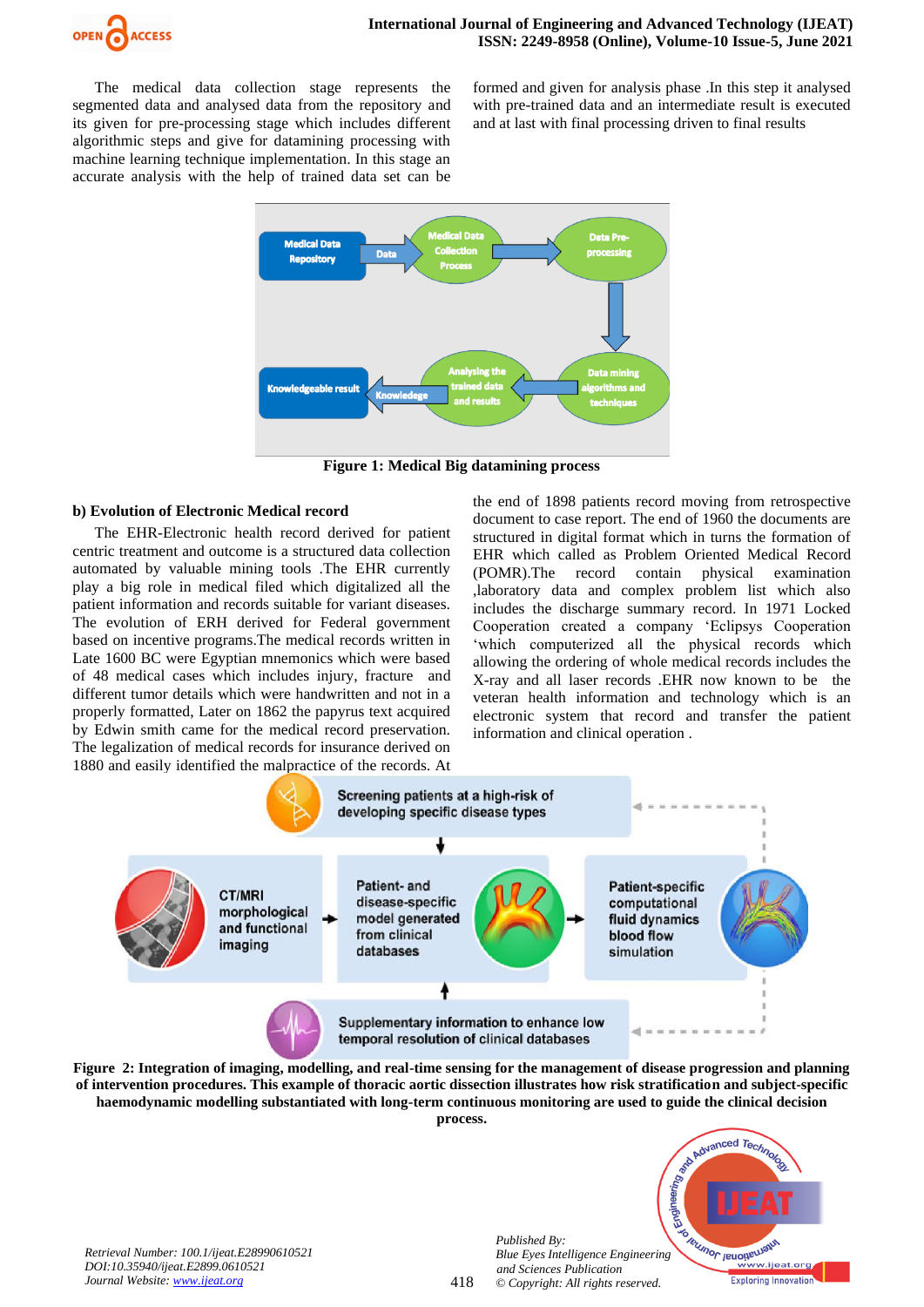

The medical data collection stage represents the segmented data and analysed data from the repository and its given for pre-processing stage which includes different algorithmic steps and give for datamining processing with machine learning technique implementation. In this stage an accurate analysis with the help of trained data set can be formed and given for analysis phase .In this step it analysed with pre-trained data and an intermediate result is executed and at last with final processing driven to final results



**Figure 1: Medical Big datamining process**

### **b) Evolution of Electronic Medical record**

The EHR-Electronic health record derived for patient centric treatment and outcome is a structured data collection automated by valuable mining tools .The EHR currently play a big role in medical filed which digitalized all the patient information and records suitable for variant diseases. The evolution of ERH derived for Federal government based on incentive programs.The medical records written in Late 1600 BC were Egyptian mnemonics which were based of 48 medical cases which includes injury, fracture and different tumor details which were handwritten and not in a properly formatted, Later on 1862 the papyrus text acquired by Edwin smith came for the medical record preservation. The legalization of medical records for insurance derived on 1880 and easily identified the malpractice of the records. At the end of 1898 patients record moving from retrospective document to case report. The end of 1960 the documents are structured in digital format which in turns the formation of EHR which called as Problem Oriented Medical Record (POMR).The record contain physical examination ,laboratory data and complex problem list which also includes the discharge summary record. In 1971 Locked Cooperation created a company 'Eclipsys Cooperation 'which computerized all the physical records which allowing the ordering of whole medical records includes the X-ray and all laser records .EHR now known to be the veteran health information and technology which is an electronic system that record and transfer the patient information and clinical operation .



**Figure 2: Integration of imaging, modelling, and real-time sensing for the management of disease progression and planning of intervention procedures. This example of thoracic aortic dissection illustrates how risk stratification and subject-specific haemodynamic modelling substantiated with long-term continuous monitoring are used to guide the clinical decision process.**

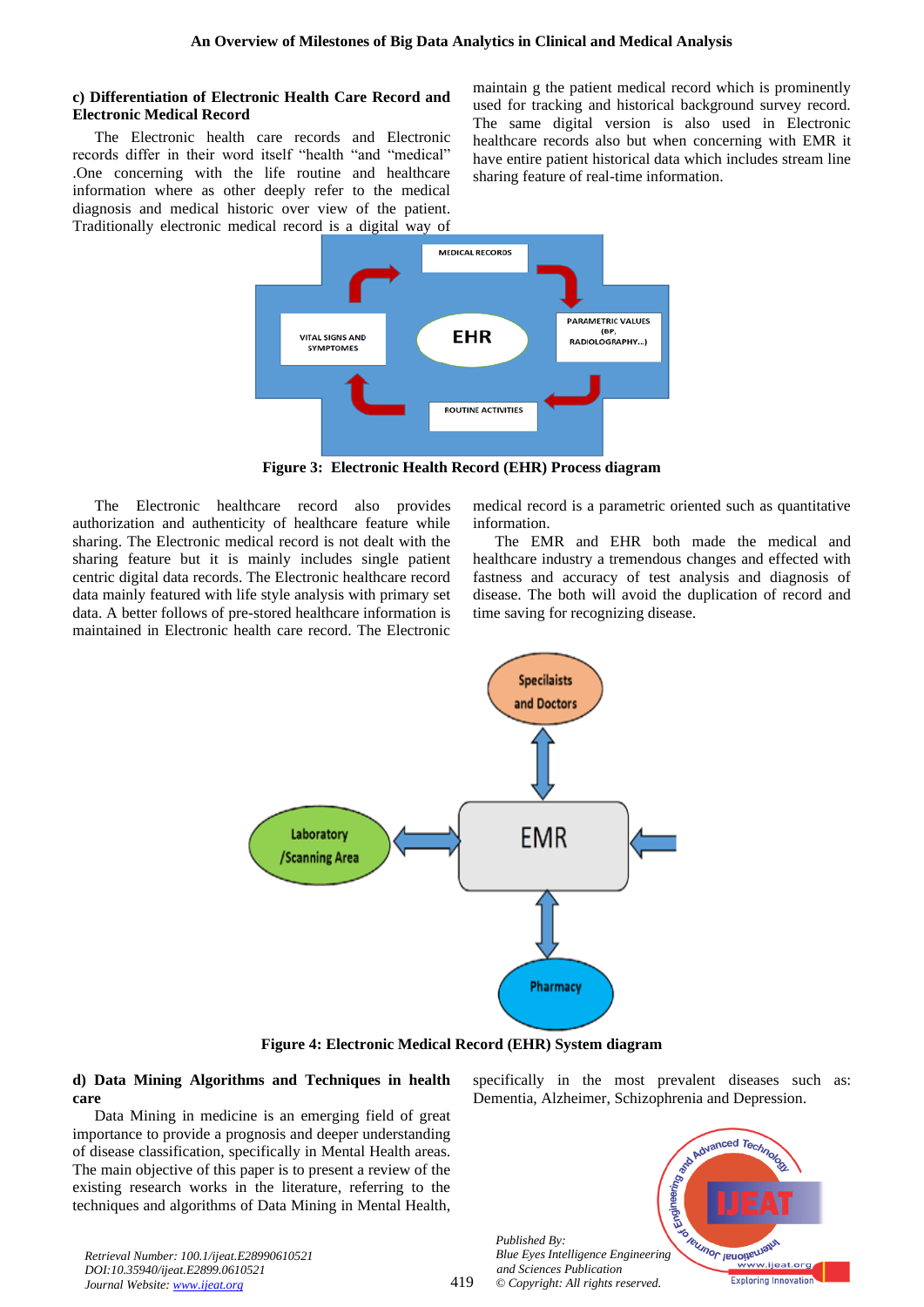### **c) Differentiation of Electronic Health Care Record and Electronic Medical Record**

The Electronic health care records and Electronic records differ in their word itself "health "and "medical" .One concerning with the life routine and healthcare information where as other deeply refer to the medical diagnosis and medical historic over view of the patient. Traditionally electronic medical record is a digital way of maintain g the patient medical record which is prominently used for tracking and historical background survey record. The same digital version is also used in Electronic healthcare records also but when concerning with EMR it have entire patient historical data which includes stream line sharing feature of real-time information.



**Figure 3: Electronic Health Record (EHR) Process diagram**

The Electronic healthcare record also provides authorization and authenticity of healthcare feature while sharing. The Electronic medical record is not dealt with the sharing feature but it is mainly includes single patient centric digital data records. The Electronic healthcare record data mainly featured with life style analysis with primary set data. A better follows of pre-stored healthcare information is maintained in Electronic health care record. The Electronic

medical record is a parametric oriented such as quantitative information.

The EMR and EHR both made the medical and healthcare industry a tremendous changes and effected with fastness and accuracy of test analysis and diagnosis of disease. The both will avoid the duplication of record and time saving for recognizing disease.



**Figure 4: Electronic Medical Record (EHR) System diagram**

419

**d) Data Mining Algorithms and Techniques in health care** 

Data Mining in medicine is an emerging field of great importance to provide a prognosis and deeper understanding of disease classification, specifically in Mental Health areas. The main objective of this paper is to present a review of the existing research works in the literature, referring to the techniques and algorithms of Data Mining in Mental Health,

*Retrieval Number: 100.1/ijeat.E28990610521 DOI:10.35940/ijeat.E2899.0610521 Journal Website[: www.ijeat.org](http://www.ijeat.org/)*

specifically in the most prevalent diseases such as: Dementia, Alzheimer, Schizophrenia and Depression.



*Published By: Blue Eyes Intelligence Engineering and Sciences Publication © Copyright: All rights reserved.*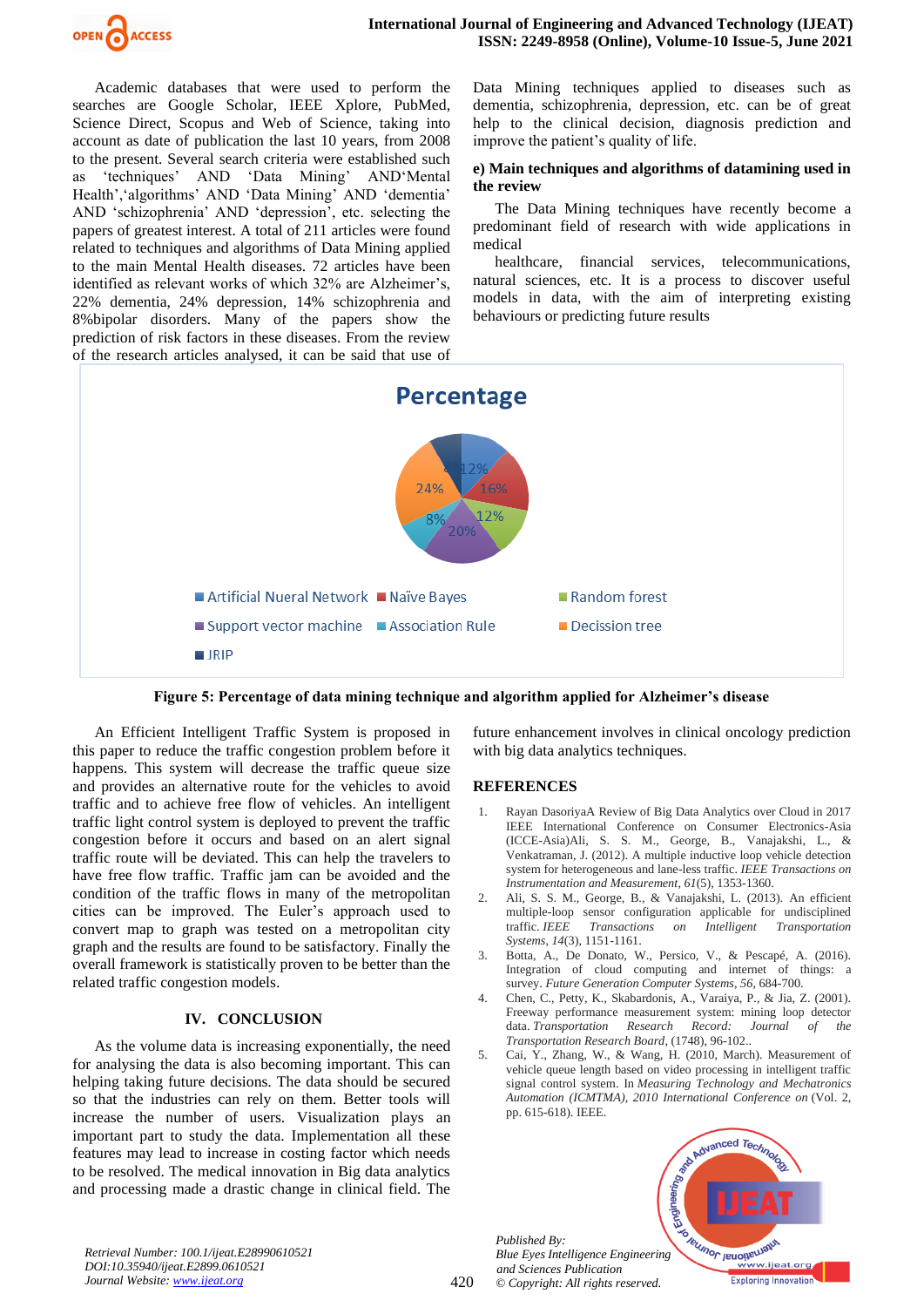

Academic databases that were used to perform the searches are Google Scholar, IEEE Xplore, PubMed, Science Direct, Scopus and Web of Science, taking into account as date of publication the last 10 years, from 2008 to the present. Several search criteria were established such as 'techniques' AND 'Data Mining' AND'Mental Health','algorithms' AND 'Data Mining' AND 'dementia' AND 'schizophrenia' AND 'depression', etc. selecting the papers of greatest interest. A total of 211 articles were found related to techniques and algorithms of Data Mining applied to the main Mental Health diseases. 72 articles have been identified as relevant works of which 32% are Alzheimer's, 22% dementia, 24% depression, 14% schizophrenia and 8%bipolar disorders. Many of the papers show the prediction of risk factors in these diseases. From the review of the research articles analysed, it can be said that use of Data Mining techniques applied to diseases such as dementia, schizophrenia, depression, etc. can be of great help to the clinical decision, diagnosis prediction and improve the patient's quality of life.

#### **e) Main techniques and algorithms of datamining used in the review**

The Data Mining techniques have recently become a predominant field of research with wide applications in medical

healthcare, financial services, telecommunications, natural sciences, etc. It is a process to discover useful models in data, with the aim of interpreting existing behaviours or predicting future results



**Figure 5: Percentage of data mining technique and algorithm applied for Alzheimer's disease**

An Efficient Intelligent Traffic System is proposed in this paper to reduce the traffic congestion problem before it happens. This system will decrease the traffic queue size and provides an alternative route for the vehicles to avoid traffic and to achieve free flow of vehicles. An intelligent traffic light control system is deployed to prevent the traffic congestion before it occurs and based on an alert signal traffic route will be deviated. This can help the travelers to have free flow traffic. Traffic jam can be avoided and the condition of the traffic flows in many of the metropolitan cities can be improved. The Euler's approach used to convert map to graph was tested on a metropolitan city graph and the results are found to be satisfactory. Finally the overall framework is statistically proven to be better than the related traffic congestion models.

## **IV. CONCLUSION**

As the volume data is increasing exponentially, the need for analysing the data is also becoming important. This can helping taking future decisions. The data should be secured so that the industries can rely on them. Better tools will increase the number of users. Visualization plays an important part to study the data. Implementation all these features may lead to increase in costing factor which needs to be resolved. The medical innovation in Big data analytics and processing made a drastic change in clinical field. The future enhancement involves in clinical oncology prediction with big data analytics techniques.

## **REFERENCES**

- 1. Rayan DasoriyaA Review of Big Data Analytics over Cloud in 2017 IEEE International Conference on Consumer Electronics-Asia (ICCE-Asia)Ali, S. S. M., George, B., Vanajakshi, L., & Venkatraman, J. (2012). A multiple inductive loop vehicle detection system for heterogeneous and lane-less traffic. *IEEE Transactions on Instrumentation and Measurement*, *61*(5), 1353-1360.
- 2. Ali, S. S. M., George, B., & Vanajakshi, L. (2013). An efficient multiple-loop sensor configuration applicable for undisciplined traffic. *IEEE Transactions on Intelligent Transportation Systems*, *14*(3), 1151-1161.
- 3. Botta, A., De Donato, W., Persico, V., & Pescapé, A. (2016). Integration of cloud computing and internet of things: a survey. *Future Generation Computer Systems*, *56*, 684-700.
- 4. Chen, C., Petty, K., Skabardonis, A., Varaiya, P., & Jia, Z. (2001). Freeway performance measurement system: mining loop detector data. *Transportation Research Record: Journal of the Transportation Research Board*, (1748), 96-102..
- 5. Cai, Y., Zhang, W., & Wang, H. (2010, March). Measurement of vehicle queue length based on video processing in intelligent traffic signal control system. In *Measuring Technology and Mechatronics Automation (ICMTMA), 2010 International Conference on* (Vol. 2, pp. 615-618). IEEE.

*Published By: Blue Eyes Intelligence Engineering and Sciences Publication © Copyright: All rights reserved.*



*Retrieval Number: 100.1/ijeat.E28990610521 DOI:10.35940/ijeat.E2899.0610521 Journal Website[: www.ijeat.org](http://www.ijeat.org/)*